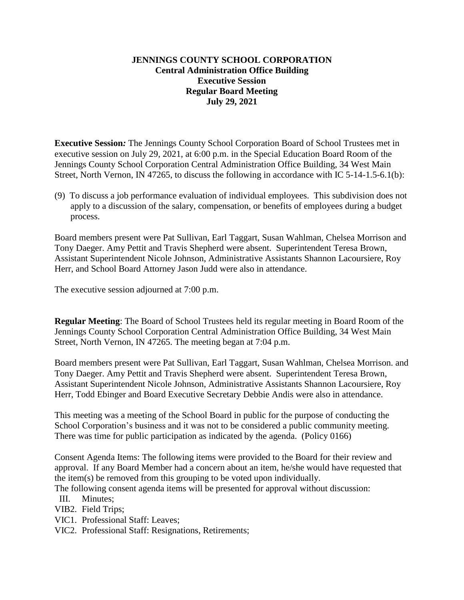# **JENNINGS COUNTY SCHOOL CORPORATION Central Administration Office Building Executive Session Regular Board Meeting July 29, 2021**

**Executive Session***:* The Jennings County School Corporation Board of School Trustees met in executive session on July 29, 2021, at 6:00 p.m. in the Special Education Board Room of the Jennings County School Corporation Central Administration Office Building, 34 West Main Street, North Vernon, IN 47265, to discuss the following in accordance with IC 5-14-1.5-6.1(b):

(9) To discuss a job performance evaluation of individual employees. This subdivision does not apply to a discussion of the salary, compensation, or benefits of employees during a budget process.

Board members present were Pat Sullivan, Earl Taggart, Susan Wahlman, Chelsea Morrison and Tony Daeger. Amy Pettit and Travis Shepherd were absent. Superintendent Teresa Brown, Assistant Superintendent Nicole Johnson, Administrative Assistants Shannon Lacoursiere, Roy Herr, and School Board Attorney Jason Judd were also in attendance.

The executive session adjourned at 7:00 p.m.

**Regular Meeting**: The Board of School Trustees held its regular meeting in Board Room of the Jennings County School Corporation Central Administration Office Building, 34 West Main Street, North Vernon, IN 47265. The meeting began at 7:04 p.m.

Board members present were Pat Sullivan, Earl Taggart, Susan Wahlman, Chelsea Morrison. and Tony Daeger. Amy Pettit and Travis Shepherd were absent. Superintendent Teresa Brown, Assistant Superintendent Nicole Johnson, Administrative Assistants Shannon Lacoursiere, Roy Herr, Todd Ebinger and Board Executive Secretary Debbie Andis were also in attendance.

This meeting was a meeting of the School Board in public for the purpose of conducting the School Corporation's business and it was not to be considered a public community meeting. There was time for public participation as indicated by the agenda. (Policy 0166)

Consent Agenda Items: The following items were provided to the Board for their review and approval. If any Board Member had a concern about an item, he/she would have requested that the item(s) be removed from this grouping to be voted upon individually.

The following consent agenda items will be presented for approval without discussion: III. Minutes;

VIB2. Field Trips;

- VIC1. Professional Staff: Leaves;
- VIC2. Professional Staff: Resignations, Retirements;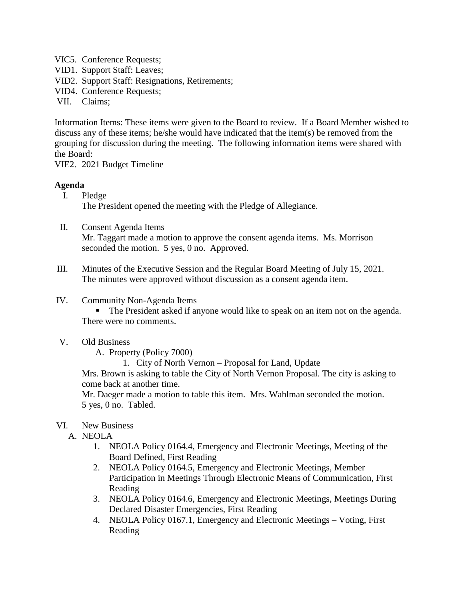- VIC5. Conference Requests;
- VID1. Support Staff: Leaves;
- VID2. Support Staff: Resignations, Retirements;
- VID4. Conference Requests;
- VII. Claims;

Information Items: These items were given to the Board to review. If a Board Member wished to discuss any of these items; he/she would have indicated that the item(s) be removed from the grouping for discussion during the meeting. The following information items were shared with the Board:

VIE2. 2021 Budget Timeline

## **Agenda**

I. Pledge

The President opened the meeting with the Pledge of Allegiance.

- II. Consent Agenda Items Mr. Taggart made a motion to approve the consent agenda items. Ms. Morrison seconded the motion. 5 yes, 0 no. Approved.
- III. Minutes of the Executive Session and the Regular Board Meeting of July 15, 2021. The minutes were approved without discussion as a consent agenda item.
- IV. Community Non-Agenda Items

 The President asked if anyone would like to speak on an item not on the agenda. There were no comments.

V. Old Business

A. Property (Policy 7000)

1. City of North Vernon – Proposal for Land, Update

Mrs. Brown is asking to table the City of North Vernon Proposal. The city is asking to come back at another time.

Mr. Daeger made a motion to table this item. Mrs. Wahlman seconded the motion. 5 yes, 0 no. Tabled.

- VI. New Business
	- A. NEOLA
		- 1. NEOLA Policy 0164.4, Emergency and Electronic Meetings, Meeting of the Board Defined, First Reading
		- 2. NEOLA Policy 0164.5, Emergency and Electronic Meetings, Member Participation in Meetings Through Electronic Means of Communication, First Reading
		- 3. NEOLA Policy 0164.6, Emergency and Electronic Meetings, Meetings During Declared Disaster Emergencies, First Reading
		- 4. NEOLA Policy 0167.1, Emergency and Electronic Meetings Voting, First Reading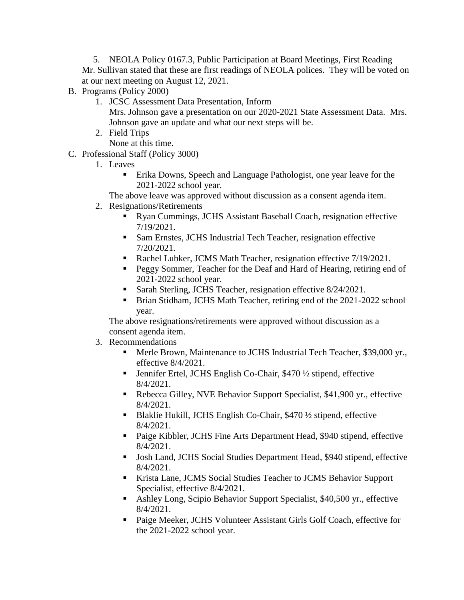5. NEOLA Policy 0167.3, Public Participation at Board Meetings, First Reading Mr. Sullivan stated that these are first readings of NEOLA polices. They will be voted on at our next meeting on August 12, 2021.

- B. Programs (Policy 2000)
	- 1. JCSC Assessment Data Presentation, Inform Mrs. Johnson gave a presentation on our 2020-2021 State Assessment Data. Mrs. Johnson gave an update and what our next steps will be.
	- 2. Field Trips

None at this time.

- C. Professional Staff (Policy 3000)
	- 1. Leaves
		- **Erika Downs, Speech and Language Pathologist, one year leave for the** 2021-2022 school year.

The above leave was approved without discussion as a consent agenda item.

- 2. Resignations/Retirements
	- Ryan Cummings, JCHS Assistant Baseball Coach, resignation effective 7/19/2021.
	- Sam Ernstes, JCHS Industrial Tech Teacher, resignation effective 7/20/2021.
	- Rachel Lubker, JCMS Math Teacher, resignation effective  $7/19/2021$ .
	- **Peggy Sommer, Teacher for the Deaf and Hard of Hearing, retiring end of** 2021-2022 school year.
	- Sarah Sterling, JCHS Teacher, resignation effective 8/24/2021.
	- Brian Stidham, JCHS Math Teacher, retiring end of the 2021-2022 school year.

The above resignations/retirements were approved without discussion as a consent agenda item.

# 3. Recommendations

- Merle Brown, Maintenance to JCHS Industrial Tech Teacher, \$39,000 yr., effective 8/4/2021.
- Jennifer Ertel, JCHS English Co-Chair, \$470 ½ stipend, effective 8/4/2021.
- Rebecca Gilley, NVE Behavior Support Specialist, \$41,900 yr., effective 8/4/2021.
- Blaklie Hukill, JCHS English Co-Chair, \$470 1/2 stipend, effective 8/4/2021.
- Paige Kibbler, JCHS Fine Arts Department Head, \$940 stipend, effective 8/4/2021.
- Josh Land, JCHS Social Studies Department Head, \$940 stipend, effective 8/4/2021.
- Krista Lane, JCMS Social Studies Teacher to JCMS Behavior Support Specialist, effective 8/4/2021.
- Ashley Long, Scipio Behavior Support Specialist, \$40,500 yr., effective 8/4/2021.
- Paige Meeker, JCHS Volunteer Assistant Girls Golf Coach, effective for the 2021-2022 school year.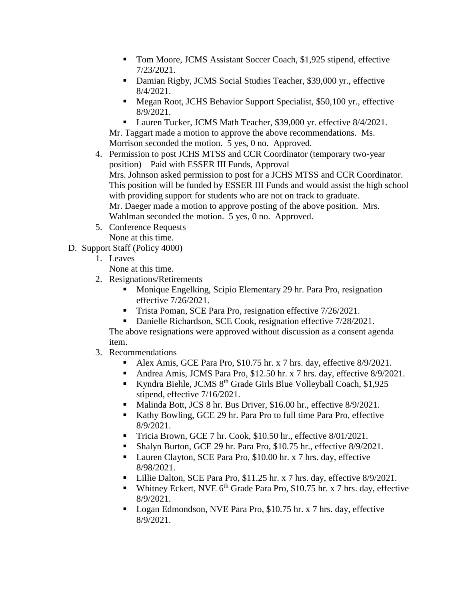- Tom Moore, JCMS Assistant Soccer Coach, \$1,925 stipend, effective 7/23/2021.
- Damian Rigby, JCMS Social Studies Teacher, \$39,000 yr., effective 8/4/2021.
- Megan Root, JCHS Behavior Support Specialist, \$50,100 yr., effective 8/9/2021.
- Lauren Tucker, JCMS Math Teacher, \$39,000 yr. effective 8/4/2021. Mr. Taggart made a motion to approve the above recommendations. Ms. Morrison seconded the motion. 5 yes, 0 no. Approved.
- 4. Permission to post JCHS MTSS and CCR Coordinator (temporary two-year position) – Paid with ESSER III Funds, Approval Mrs. Johnson asked permission to post for a JCHS MTSS and CCR Coordinator. This position will be funded by ESSER III Funds and would assist the high school with providing support for students who are not on track to graduate. Mr. Daeger made a motion to approve posting of the above position. Mrs. Wahlman seconded the motion. 5 yes, 0 no. Approved.
- 5. Conference Requests None at this time.
- D. Support Staff (Policy 4000)
	- 1. Leaves
		- None at this time.
	- 2. Resignations/Retirements
		- **Monique Engelking, Scipio Elementary 29 hr. Para Pro, resignation** effective 7/26/2021.
		- Trista Poman, SCE Para Pro, resignation effective 7/26/2021.
		- Danielle Richardson, SCE Cook, resignation effective 7/28/2021.

The above resignations were approved without discussion as a consent agenda item.

- 3. Recommendations
	- Alex Amis, GCE Para Pro, \$10.75 hr. x 7 hrs. day, effective 8/9/2021.
	- Andrea Amis, JCMS Para Pro, \$12.50 hr. x 7 hrs. day, effective  $8/9/2021$ .
	- Kyndra Biehle, JCMS 8<sup>th</sup> Grade Girls Blue Volleyball Coach, \$1,925 stipend, effective 7/16/2021.
	- Malinda Bott, JCS 8 hr. Bus Driver, \$16.00 hr., effective 8/9/2021.
	- Kathy Bowling, GCE 29 hr. Para Pro to full time Para Pro, effective 8/9/2021.
	- Tricia Brown, GCE 7 hr. Cook, \$10.50 hr., effective 8/01/2021.
	- Shalyn Burton, GCE 29 hr. Para Pro, \$10.75 hr., effective 8/9/2021.
	- Lauren Clayton, SCE Para Pro, \$10.00 hr. x 7 hrs. day, effective 8/98/2021.
	- Lillie Dalton, SCE Para Pro, \$11.25 hr. x 7 hrs. day, effective 8/9/2021.
	- Whitney Eckert, NVE  $6<sup>th</sup>$  Grade Para Pro, \$10.75 hr. x 7 hrs. day, effective 8/9/2021.
	- Logan Edmondson, NVE Para Pro, \$10.75 hr. x 7 hrs. day, effective 8/9/2021.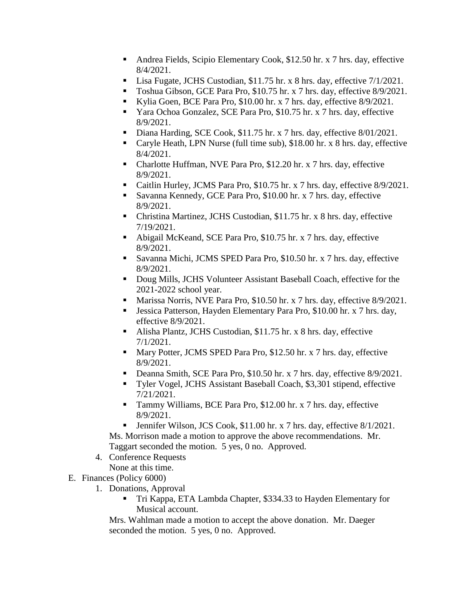- Andrea Fields, Scipio Elementary Cook, \$12.50 hr. x 7 hrs. day, effective 8/4/2021.
- Lisa Fugate, JCHS Custodian, \$11.75 hr. x 8 hrs. day, effective 7/1/2021.
- Toshua Gibson, GCE Para Pro, \$10.75 hr. x 7 hrs. day, effective 8/9/2021.
- Kylia Goen, BCE Para Pro, \$10.00 hr. x 7 hrs. day, effective 8/9/2021.
- Yara Ochoa Gonzalez, SCE Para Pro, \$10.75 hr. x 7 hrs. day, effective 8/9/2021.
- Diana Harding, SCE Cook, \$11.75 hr. x 7 hrs. day, effective 8/01/2021.
- Caryle Heath, LPN Nurse (full time sub), \$18.00 hr. x 8 hrs. day, effective 8/4/2021.
- Charlotte Huffman, NVE Para Pro, \$12.20 hr. x 7 hrs. day, effective 8/9/2021.
- Caitlin Hurley, JCMS Para Pro, \$10.75 hr. x 7 hrs. day, effective 8/9/2021.
- Savanna Kennedy, GCE Para Pro, \$10.00 hr. x 7 hrs. day, effective 8/9/2021.
- Christina Martinez, JCHS Custodian, \$11.75 hr. x 8 hrs. day, effective 7/19/2021.
- Abigail McKeand, SCE Para Pro, \$10.75 hr. x 7 hrs. day, effective 8/9/2021.
- Savanna Michi, JCMS SPED Para Pro, \$10.50 hr. x 7 hrs. day, effective 8/9/2021.
- Doug Mills, JCHS Volunteer Assistant Baseball Coach, effective for the 2021-2022 school year.
- Marissa Norris, NVE Para Pro, \$10.50 hr. x 7 hrs. day, effective 8/9/2021.
- Jessica Patterson, Hayden Elementary Para Pro, \$10.00 hr. x 7 hrs. day, effective 8/9/2021.
- Alisha Plantz, JCHS Custodian, \$11.75 hr. x 8 hrs. day, effective 7/1/2021.
- Mary Potter, JCMS SPED Para Pro, \$12.50 hr. x 7 hrs. day, effective 8/9/2021.
- Deanna Smith, SCE Para Pro, \$10.50 hr. x 7 hrs. day, effective 8/9/2021.
- Tyler Vogel, JCHS Assistant Baseball Coach, \$3,301 stipend, effective 7/21/2021.
- Tammy Williams, BCE Para Pro, \$12.00 hr. x 7 hrs. day, effective 8/9/2021.
- **Jennifer Wilson, JCS Cook, \$11.00 hr. x 7 hrs. day, effective 8/1/2021.**

Ms. Morrison made a motion to approve the above recommendations. Mr. Taggart seconded the motion. 5 yes, 0 no. Approved.

- 4. Conference Requests None at this time.
- E. Finances (Policy 6000)
	- 1. Donations, Approval
		- Tri Kappa, ETA Lambda Chapter, \$334.33 to Hayden Elementary for Musical account.

Mrs. Wahlman made a motion to accept the above donation. Mr. Daeger seconded the motion. 5 yes, 0 no. Approved.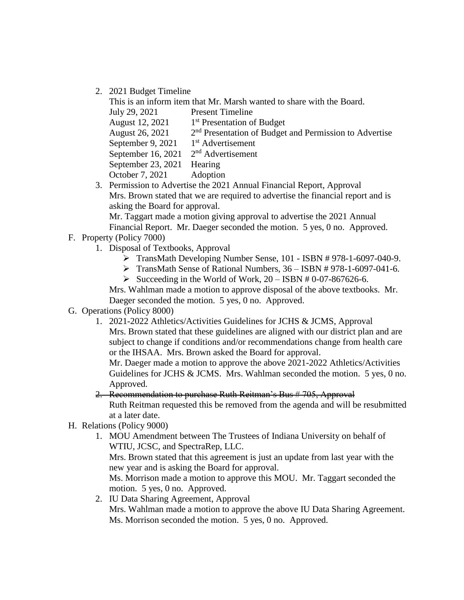2. 2021 Budget Timeline

This is an inform item that Mr. Marsh wanted to share with the Board. July 29, 2021 Present Timeline August 12, 2021 1 1<sup>st</sup> Presentation of Budget August 26, 2021 2  $2<sup>nd</sup>$  Presentation of Budget and Permission to Advertise September 9,  $2021$ 1<sup>st</sup> Advertisement September 16, 2021  $2<sup>nd</sup>$  Advertisement September 23, 2021 Hearing October 7, 2021 Adoption

3. Permission to Advertise the 2021 Annual Financial Report, Approval Mrs. Brown stated that we are required to advertise the financial report and is asking the Board for approval.

Mr. Taggart made a motion giving approval to advertise the 2021 Annual Financial Report. Mr. Daeger seconded the motion. 5 yes, 0 no. Approved.

- F. Property (Policy 7000)
	- 1. Disposal of Textbooks, Approval
		- TransMath Developing Number Sense, 101 ISBN # 978-1-6097-040-9.
		- TransMath Sense of Rational Numbers, 36 ISBN # 978-1-6097-041-6.
		- Succeeding in the World of Work,  $20 ISBN 40 07 867626 6$ .

Mrs. Wahlman made a motion to approve disposal of the above textbooks. Mr. Daeger seconded the motion. 5 yes, 0 no. Approved.

# G. Operations (Policy 8000)

1. 2021-2022 Athletics/Activities Guidelines for JCHS & JCMS, Approval Mrs. Brown stated that these guidelines are aligned with our district plan and are subject to change if conditions and/or recommendations change from health care or the IHSAA. Mrs. Brown asked the Board for approval.

Mr. Daeger made a motion to approve the above 2021-2022 Athletics/Activities Guidelines for JCHS & JCMS. Mrs. Wahlman seconded the motion. 5 yes, 0 no. Approved.

2. Recommendation to purchase Ruth Reitman's Bus #705, Approval Ruth Reitman requested this be removed from the agenda and will be resubmitted at a later date.

- H. Relations (Policy 9000)
	- 1. MOU Amendment between The Trustees of Indiana University on behalf of WTIU, JCSC, and SpectraRep, LLC.

Mrs. Brown stated that this agreement is just an update from last year with the new year and is asking the Board for approval.

Ms. Morrison made a motion to approve this MOU. Mr. Taggart seconded the motion. 5 yes, 0 no. Approved.

2. IU Data Sharing Agreement, Approval Mrs. Wahlman made a motion to approve the above IU Data Sharing Agreement. Ms. Morrison seconded the motion. 5 yes, 0 no. Approved.